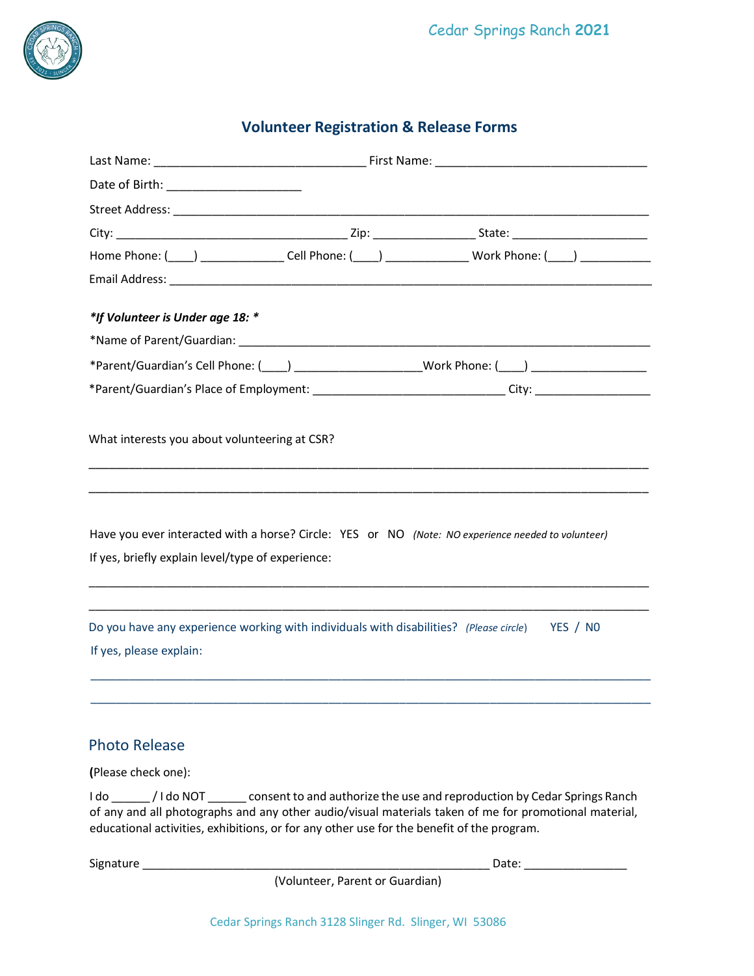

# **Volunteer Registration & Release Forms**

|                                                                                                                  | Home Phone: ( <u>___</u> ) _________________Cell Phone: ( ___ ) ____________________Work Phone: ( ____ ) _____________                                                                                                         |
|------------------------------------------------------------------------------------------------------------------|--------------------------------------------------------------------------------------------------------------------------------------------------------------------------------------------------------------------------------|
| Email Address: North American State Communication of the Communication of the Communication of the Communication |                                                                                                                                                                                                                                |
| *If Volunteer is Under age 18: *                                                                                 |                                                                                                                                                                                                                                |
|                                                                                                                  |                                                                                                                                                                                                                                |
|                                                                                                                  |                                                                                                                                                                                                                                |
|                                                                                                                  | *Parent/Guardian's Place of Employment: ________________________________City: ______________________                                                                                                                           |
|                                                                                                                  |                                                                                                                                                                                                                                |
| What interests you about volunteering at CSR?                                                                    |                                                                                                                                                                                                                                |
|                                                                                                                  |                                                                                                                                                                                                                                |
|                                                                                                                  |                                                                                                                                                                                                                                |
|                                                                                                                  |                                                                                                                                                                                                                                |
| Have you ever interacted with a horse? Circle: YES or NO (Note: NO experience needed to volunteer)               |                                                                                                                                                                                                                                |
| If yes, briefly explain level/type of experience:                                                                |                                                                                                                                                                                                                                |
|                                                                                                                  |                                                                                                                                                                                                                                |
| Do you have any experience working with individuals with disabilities? (Please circle)                           | YES / NO                                                                                                                                                                                                                       |
| If yes, please explain:                                                                                          |                                                                                                                                                                                                                                |
|                                                                                                                  |                                                                                                                                                                                                                                |
|                                                                                                                  |                                                                                                                                                                                                                                |
|                                                                                                                  |                                                                                                                                                                                                                                |
| <b>Photo Release</b>                                                                                             |                                                                                                                                                                                                                                |
| (Please check one):                                                                                              |                                                                                                                                                                                                                                |
| I do ______/I do NOT _______ consent to and authorize the use and reproduction by Cedar Springs Ranch            | of any and all photographs and any other audio/visual materials taken of me for promotional material,                                                                                                                          |
| educational activities, exhibitions, or for any other use for the benefit of the program.                        |                                                                                                                                                                                                                                |
|                                                                                                                  | Date: the contract of the contract of the contract of the contract of the contract of the contract of the contract of the contract of the contract of the contract of the contract of the contract of the contract of the cont |
|                                                                                                                  |                                                                                                                                                                                                                                |

(Volunteer, Parent or Guardian)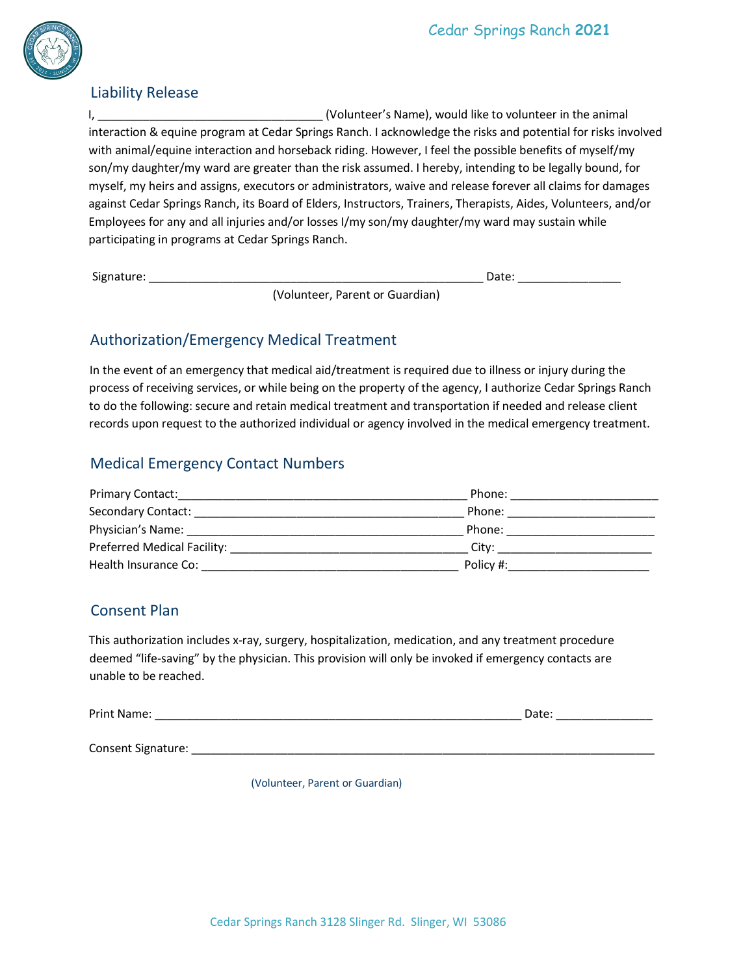

#### Liability Release

I, \_\_\_\_\_\_\_\_\_\_\_\_\_\_\_\_\_\_\_\_\_\_\_\_\_\_\_\_\_\_\_\_\_\_\_ (Volunteer's Name), would like to volunteer in the animal interaction & equine program at Cedar Springs Ranch. I acknowledge the risks and potential for risks involved with animal/equine interaction and horseback riding. However, I feel the possible benefits of myself/my son/my daughter/my ward are greater than the risk assumed. I hereby, intending to be legally bound, for myself, my heirs and assigns, executors or administrators, waive and release forever all claims for damages against Cedar Springs Ranch, its Board of Elders, Instructors, Trainers, Therapists, Aides, Volunteers, and/or Employees for any and all injuries and/or losses I/my son/my daughter/my ward may sustain while participating in programs at Cedar Springs Ranch.

Signature: \_\_\_\_\_\_\_\_\_\_\_\_\_\_\_\_\_\_\_\_\_\_\_\_\_\_\_\_\_\_\_\_\_\_\_\_\_\_\_\_\_\_\_\_\_\_\_\_\_\_\_\_ Date: \_\_\_\_\_\_\_\_\_\_\_\_\_\_\_\_

(Volunteer, Parent or Guardian)

# Authorization/Emergency Medical Treatment

In the event of an emergency that medical aid/treatment is required due to illness or injury during the process of receiving services, or while being on the property of the agency, I authorize Cedar Springs Ranch to do the following: secure and retain medical treatment and transportation if needed and release client records upon request to the authorized individual or agency involved in the medical emergency treatment.

### Medical Emergency Contact Numbers

| <b>Primary Contact:</b>     | Phone:    |
|-----------------------------|-----------|
| Secondary Contact:          | Phone:    |
| Physician's Name:           | Phone:    |
| Preferred Medical Facility: | City:     |
| Health Insurance Co:        | Policy #: |

# Consent Plan

This authorization includes x-ray, surgery, hospitalization, medication, and any treatment procedure deemed "life-saving" by the physician. This provision will only be invoked if emergency contacts are unable to be reached.

| Print Name | $-1$ |  |
|------------|------|--|
|            |      |  |

Consent Signature: **Example 2018** 

(Volunteer, Parent or Guardian)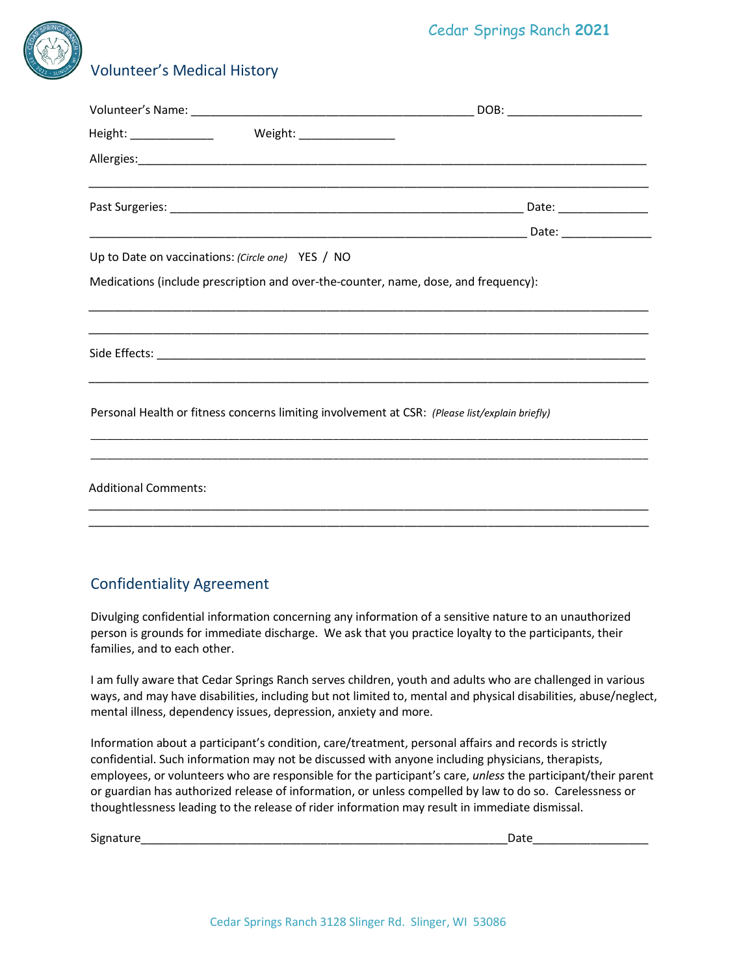# Cedar Springs Ranch **2021**



# Volunteer's Medical History

|                                                   | Allergies: Allergies: Allergies: Allergies: Allergies: Allergies: Allergies: Allergies: Allergies: Allergies: Allergies: Allergies: Allergies: Allergies: Allergies: Allergies: Allergies: Allergies: Allergies: Allergies: Al |  |
|---------------------------------------------------|--------------------------------------------------------------------------------------------------------------------------------------------------------------------------------------------------------------------------------|--|
|                                                   |                                                                                                                                                                                                                                |  |
|                                                   |                                                                                                                                                                                                                                |  |
| Up to Date on vaccinations: (Circle one) YES / NO |                                                                                                                                                                                                                                |  |
|                                                   | Medications (include prescription and over-the-counter, name, dose, and frequency):                                                                                                                                            |  |
|                                                   |                                                                                                                                                                                                                                |  |
|                                                   |                                                                                                                                                                                                                                |  |
|                                                   |                                                                                                                                                                                                                                |  |
|                                                   | Personal Health or fitness concerns limiting involvement at CSR: (Please list/explain briefly)                                                                                                                                 |  |
|                                                   |                                                                                                                                                                                                                                |  |
| <b>Additional Comments:</b>                       |                                                                                                                                                                                                                                |  |
|                                                   |                                                                                                                                                                                                                                |  |

### Confidentiality Agreement

Divulging confidential information concerning any information of a sensitive nature to an unauthorized person is grounds for immediate discharge. We ask that you practice loyalty to the participants, their families, and to each other.

I am fully aware that Cedar Springs Ranch serves children, youth and adults who are challenged in various ways, and may have disabilities, including but not limited to, mental and physical disabilities, abuse/neglect, mental illness, dependency issues, depression, anxiety and more.

Information about a participant's condition, care/treatment, personal affairs and records is strictly confidential. Such information may not be discussed with anyone including physicians, therapists, employees, or volunteers who are responsible for the participant's care, *unless* the participant/their parent or guardian has authorized release of information, or unless compelled by law to do so. Carelessness or thoughtlessness leading to the release of rider information may result in immediate dismissal.

| $\sim$ $\sim$ | ,,,,, |
|---------------|-------|
| Signature     | ,,,,, |
|               |       |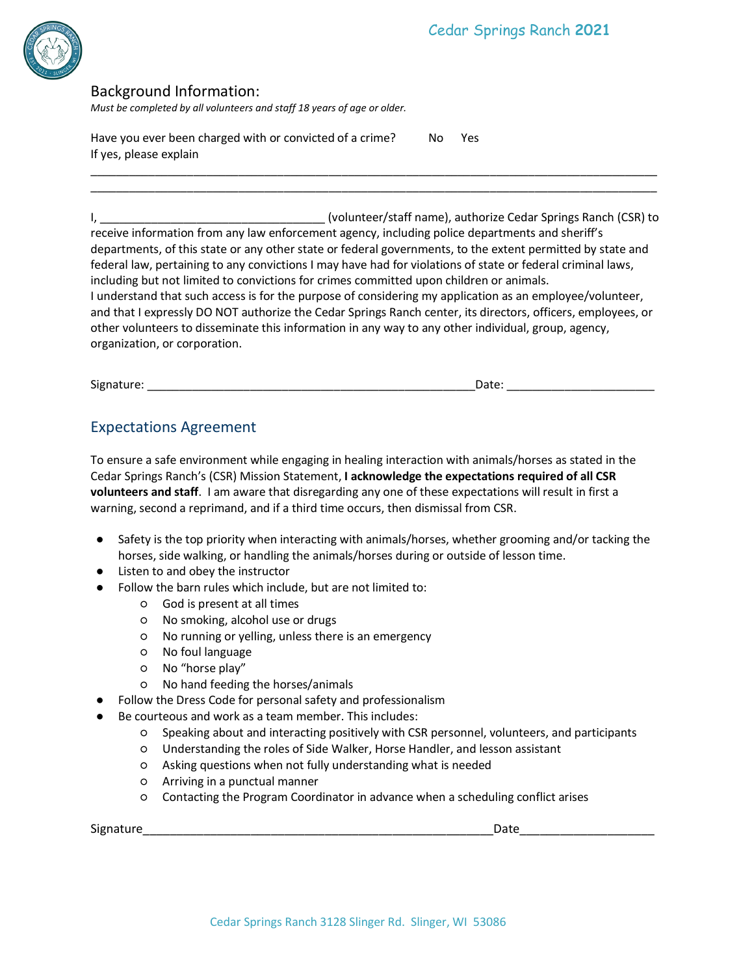

#### Background Information:

*Must be completed by all volunteers and staff 18 years of age or older.*

Have you ever been charged with or convicted of a crime? No Yes If yes, please explain

I, \_\_\_\_\_\_\_\_\_\_\_\_\_\_\_\_\_\_\_\_\_\_\_\_\_\_\_\_\_\_\_\_\_\_\_ (volunteer/staff name), authorize Cedar Springs Ranch (CSR) to receive information from any law enforcement agency, including police departments and sheriff's departments, of this state or any other state or federal governments, to the extent permitted by state and federal law, pertaining to any convictions I may have had for violations of state or federal criminal laws, including but not limited to convictions for crimes committed upon children or animals. I understand that such access is for the purpose of considering my application as an employee/volunteer, and that I expressly DO NOT authorize the Cedar Springs Ranch center, its directors, officers, employees, or other volunteers to disseminate this information in any way to any other individual, group, agency, organization, or corporation.

\_\_\_\_\_\_\_\_\_\_\_\_\_\_\_\_\_\_\_\_\_\_\_\_\_\_\_\_\_\_\_\_\_\_\_\_\_\_\_\_\_\_\_\_\_\_\_\_\_\_\_\_\_\_\_\_\_\_\_\_\_\_\_\_\_\_\_\_\_\_\_\_\_\_\_\_\_\_\_\_\_\_\_\_\_\_\_\_ \_\_\_\_\_\_\_\_\_\_\_\_\_\_\_\_\_\_\_\_\_\_\_\_\_\_\_\_\_\_\_\_\_\_\_\_\_\_\_\_\_\_\_\_\_\_\_\_\_\_\_\_\_\_\_\_\_\_\_\_\_\_\_\_\_\_\_\_\_\_\_\_\_\_\_\_\_\_\_\_\_\_\_\_\_\_\_\_

| Signature: | Date: |
|------------|-------|

# Expectations Agreement

To ensure a safe environment while engaging in healing interaction with animals/horses as stated in the Cedar Springs Ranch's (CSR) Mission Statement, **I acknowledge the expectations required of all CSR volunteers and staff**. I am aware that disregarding any one of these expectations will result in first a warning, second a reprimand, and if a third time occurs, then dismissal from CSR.

- Safety is the top priority when interacting with animals/horses, whether grooming and/or tacking the horses, side walking, or handling the animals/horses during or outside of lesson time.
- Listen to and obey the instructor
- Follow the barn rules which include, but are not limited to:
	- God is present at all times
	- No smoking, alcohol use or drugs
	- No running or yelling, unless there is an emergency
	- No foul language
	- No "horse play"
	- No hand feeding the horses/animals
- Follow the Dress Code for personal safety and professionalism
- Be courteous and work as a team member. This includes:
	- Speaking about and interacting positively with CSR personnel, volunteers, and participants
	- Understanding the roles of Side Walker, Horse Handler, and lesson assistant
	- Asking questions when not fully understanding what is needed
	- Arriving in a punctual manner
	- Contacting the Program Coordinator in advance when a scheduling conflict arises

| $\sim$ $\sim$<br><b>SIG</b> |  |
|-----------------------------|--|
|                             |  |